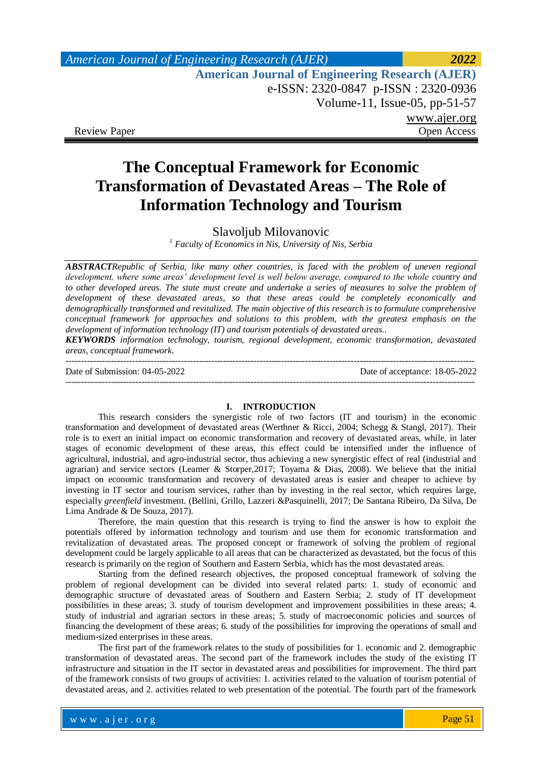| American Journal of Engineering Research (AJER)        | 2022         |
|--------------------------------------------------------|--------------|
| <b>American Journal of Engineering Research (AJER)</b> |              |
| e-ISSN: 2320-0847 p-ISSN: 2320-0936                    |              |
| Volume-11, Issue-05, pp-51-57                          |              |
|                                                        | www.ajer.org |
| <b>Review Paper</b>                                    | Open Access  |

# **The Conceptual Framework for Economic Transformation of Devastated Areas – The Role of Information Technology and Tourism**

Slavoljub Milovanovic

*<sup>1</sup> Faculty of Economics in Nis, University of Nis, Serbia* 

*ABSTRACTRepublic of Serbia, like many other countries, is faced with the problem of uneven regional development, where some areas' development level is well below average, compared to the whole country and to other developed areas. The state must create and undertake a series of measures to solve the problem of development of these devastated areas, so that these areas could be completely economically and demographically transformed and revitalized. The main objective of this research is to formulate comprehensive conceptual framework for approaches and solutions to this problem, with the greatest emphasis on the development of information technology (IT) and tourism potentials of devastated areas..*

*KEYWORDS information technology, tourism, regional development, economic transformation, devastated areas, conceptual framework.*

--------------------------------------------------------------------------------------------------------------------------------------- Date of Submission: 04-05-2022 Date of acceptance: 18-05-2022 ---------------------------------------------------------------------------------------------------------------------------------------

#### **I. INTRODUCTION**

This research considers the synergistic role of two factors (IT and tourism) in the economic transformation and development of devastated areas (Werthner & Ricci, 2004; Schegg & Stangl, 2017). Their role is to exert an initial impact on economic transformation and recovery of devastated areas, while, in later stages of economic development of these areas, this effect could be intensified under the influence of agricultural, industrial, and agro-industrial sector, thus achieving a new synergistic effect of real (industrial and agrarian) and service sectors (Leamer & Storper,2017; Toyama & Dias, 2008). We believe that the initial impact on economic transformation and recovery of devastated areas is easier and cheaper to achieve by investing in IT sector and tourism services, rather than by investing in the real sector, which requires large, especially *greenfield* investment. (Bellini, Grillo, Lazzeri &Pasquinelli, 2017; De Santana Ribeiro, Da Silva, De Lima Andrade & De Souza, 2017).

Therefore, the main question that this research is trying to find the answer is how to exploit the potentials offered by information technology and tourism and use them for economic transformation and revitalization of devastated areas. The proposed concept or framework of solving the problem of regional development could be largely applicable to all areas that can be characterized as devastated, but the focus of this research is primarily on the region of Southern and Eastern Serbia, which has the most devastated areas.

Starting from the defined research objectives, the proposed conceptual framework of solving the problem of regional development can be divided into several related parts: 1. study of economic and demographic structure of devastated areas of Southern and Eastern Serbia; 2. study of IT development possibilities in these areas; 3. study of tourism development and improvement possibilities in these areas; 4. study of industrial and agrarian sectors in these areas; 5. study of macroeconomic policies and sources of financing the development of these areas; 6. study of the possibilities for improving the operations of small and medium-sized enterprises in these areas.

The first part of the framework relates to the study of possibilities for 1. economic and 2. demographic transformation of devastated areas. The second part of the framework includes the study of the existing IT infrastructure and situation in the IT sector in devastated areas and possibilities for improvement. The third part of the framework consists of two groups of activities: 1. activities related to the valuation of tourism potential of devastated areas, and 2. activities related to web presentation of the potential. The fourth part of the framework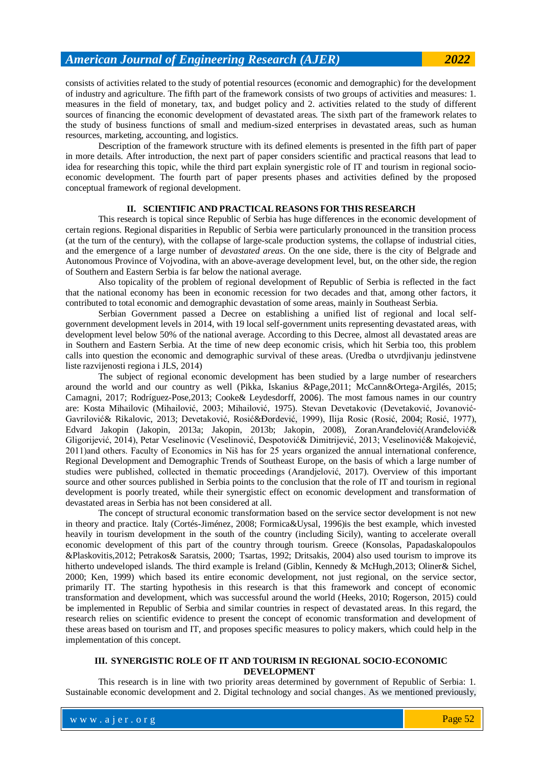consists of activities related to the study of potential resources (economic and demographic) for the development of industry and agriculture. The fifth part of the framework consists of two groups of activities and measures: 1. measures in the field of monetary, tax, and budget policy and 2. activities related to the study of different sources of financing the economic development of devastated areas. The sixth part of the framework relates to the study of business functions of small and medium-sized enterprises in devastated areas, such as human resources, marketing, accounting, and logistics.

Description of the framework structure with its defined elements is presented in the fifth part of paper in more details. After introduction, the next part of paper considers scientific and practical reasons that lead to idea for researching this topic, while the third part explain synergistic role of IT and tourism in regional socioeconomic development. The fourth part of paper presents phases and activities defined by the proposed conceptual framework of regional development.

### **II. SCIENTIFIC AND PRACTICAL REASONS FOR THIS RESEARCH**

This research is topical since Republic of Serbia has huge differences in the economic development of certain regions. Regional disparities in Republic of Serbia were particularly pronounced in the transition process (at the turn of the century), with the collapse of large-scale production systems, the collapse of industrial cities, and the emergence of a large number of *devastated areas*. On the one side, there is the city of Belgrade and Autonomous Province of Vojvodina, with an above-average development level, but, on the other side, the region of Southern and Eastern Serbia is far below the national average.

Also topicality of the problem of regional development of Republic of Serbia is reflected in the fact that the national economy has been in economic recession for two decades and that, among other factors, it contributed to total economic and demographic devastation of some areas, mainly in Southeast Serbia.

Serbian Government passed a Decree on establishing a unified list of regional and local selfgovernment development levels in 2014, with 19 local self-government units representing devastated areas, with development level below 50% of the national average. According to this Decree, almost all devastated areas are in Southern and Eastern Serbia. At the time of new deep economic crisis, which hit Serbia too, this problem calls into question the economic and demographic survival of these areas. (Uredba o utvrdjivanju jedinstvene liste razvijenosti regiona i JLS, 2014)

The subject of regional economic development has been studied by a large number of researchers around the world and our country as well (Pikka, Iskanius &Page,2011; McCann&Ortega-Argilés, 2015; Camagni, 2017; Rodríguez-Pose,2013; Cooke& Leydesdorff, 2006). The most famous names in our country are: Kosta Mihailovic (Mihailović, 2003; Mihailović, 1975). Stevan Devetakovic (Devetaković, Jovanović-Gavrilović & Rikalovic, 2013; Devetaković, Rosić & Đordević, 1999), Ilija Rosic (Rosić, 2004; Rosić, 1977), Edvard Jakopin (Jakopin, 2013a; Jakopin, 2013b; Jakopin, 2008), ZoranAranđelović(Aranđelović& Gligorijević, 2014), Petar Veselinovic (Veselinović, Despotović & Dimitrijević, 2013; Veselinović & Makojević, 2011) and others. Faculty of Economics in Niš has for 25 years organized the annual international conference, Regional Development and Demographic Trends of Southeast Europe, on the basis of which a large number of studies were published, collected in thematic proceedings (Arandjelović, 2017). Overview of this important source and other sources published in Serbia points to the conclusion that the role of IT and tourism in regional development is poorly treated, while their synergistic effect on economic development and transformation of devastated areas in Serbia has not been considered at all.

The concept of structural economic transformation based on the service sector development is not new in theory and practice. Italy (Cortés-Jiménez, 2008; Formica&Uysal, 1996)is the best example, which invested heavily in tourism development in the south of the country (including Sicily), wanting to accelerate overall economic development of this part of the country through tourism. Greece (Konsolas, Papadaskalopoulos &Plaskovitis,2012; Petrakos& Saratsis, 2000; Tsartas, 1992; Dritsakis, 2004) also used tourism to improve its hitherto undeveloped islands. The third example is Ireland (Giblin, Kennedy & McHugh,2013; Oliner& Sichel, 2000; Ken, 1999) which based its entire economic development, not just regional, on the service sector, primarily IT. The starting hypothesis in this research is that this framework and concept of economic transformation and development, which was successful around the world (Heeks, 2010; Rogerson, 2015) could be implemented in Republic of Serbia and similar countries in respect of devastated areas. In this regard, the research relies on scientific evidence to present the concept of economic transformation and development of these areas based on tourism and IT, and proposes specific measures to policy makers, which could help in the implementation of this concept.

#### **III. SYNERGISTIC ROLE OF IT AND TOURISM IN REGIONAL SOCIO-ECONOMIC DEVELOPMENT**

This research is in line with two priority areas determined by government of Republic of Serbia: 1. Sustainable economic development and 2. Digital technology and social changes. As we mentioned previously,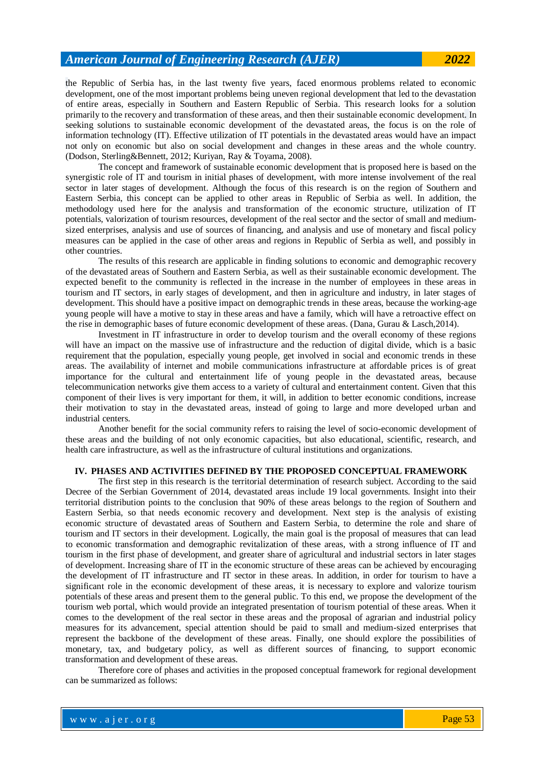# *American Journal of Engineering Research (AJER) 2022*

the Republic of Serbia has, in the last twenty five years, faced enormous problems related to economic development, one of the most important problems being uneven regional development that led to the devastation of entire areas, especially in Southern and Eastern Republic of Serbia. This research looks for a solution primarily to the recovery and transformation of these areas, and then their sustainable economic development. In seeking solutions to sustainable economic development of the devastated areas, the focus is on the role of information technology (IT). Effective utilization of IT potentials in the devastated areas would have an impact not only on economic but also on social development and changes in these areas and the whole country. (Dodson, Sterling&Bennett, 2012; Kuriyan, Ray & Toyama, 2008).

The concept and framework of sustainable economic development that is proposed here is based on the synergistic role of IT and tourism in initial phases of development, with more intense involvement of the real sector in later stages of development. Although the focus of this research is on the region of Southern and Eastern Serbia, this concept can be applied to other areas in Republic of Serbia as well. In addition, the methodology used here for the analysis and transformation of the economic structure, utilization of IT potentials, valorization of tourism resources, development of the real sector and the sector of small and mediumsized enterprises, analysis and use of sources of financing, and analysis and use of monetary and fiscal policy measures can be applied in the case of other areas and regions in Republic of Serbia as well, and possibly in other countries.

The results of this research are applicable in finding solutions to economic and demographic recovery of the devastated areas of Southern and Eastern Serbia, as well as their sustainable economic development. The expected benefit to the community is reflected in the increase in the number of employees in these areas in tourism and IT sectors, in early stages of development, and then in agriculture and industry, in later stages of development. This should have a positive impact on demographic trends in these areas, because the working-age young people will have a motive to stay in these areas and have a family, which will have a retroactive effect on the rise in demographic bases of future economic development of these areas. (Dana, Gurau & Lasch,2014).

Investment in IT infrastructure in order to develop tourism and the overall economy of these regions will have an impact on the massive use of infrastructure and the reduction of digital divide, which is a basic requirement that the population, especially young people, get involved in social and economic trends in these areas. The availability of internet and mobile communications infrastructure at affordable prices is of great importance for the cultural and entertainment life of young people in the devastated areas, because telecommunication networks give them access to a variety of cultural and entertainment content. Given that this component of their lives is very important for them, it will, in addition to better economic conditions, increase their motivation to stay in the devastated areas, instead of going to large and more developed urban and industrial centers.

Another benefit for the social community refers to raising the level of socio-economic development of these areas and the building of not only economic capacities, but also educational, scientific, research, and health care infrastructure, as well as the infrastructure of cultural institutions and organizations.

#### **IV. PHASES AND ACTIVITIES DEFINED BY THE PROPOSED CONCEPTUAL FRAMEWORK**

The first step in this research is the territorial determination of research subject. According to the said Decree of the Serbian Government of 2014, devastated areas include 19 local governments. Insight into their territorial distribution points to the conclusion that 90% of these areas belongs to the region of Southern and Eastern Serbia, so that needs economic recovery and development. Next step is the analysis of existing economic structure of devastated areas of Southern and Eastern Serbia, to determine the role and share of tourism and IT sectors in their development. Logically, the main goal is the proposal of measures that can lead to economic transformation and demographic revitalization of these areas, with a strong influence of IT and tourism in the first phase of development, and greater share of agricultural and industrial sectors in later stages of development. Increasing share of IT in the economic structure of these areas can be achieved by encouraging the development of IT infrastructure and IT sector in these areas. In addition, in order for tourism to have a significant role in the economic development of these areas, it is necessary to explore and valorize tourism potentials of these areas and present them to the general public. To this end, we propose the development of the tourism web portal, which would provide an integrated presentation of tourism potential of these areas. When it comes to the development of the real sector in these areas and the proposal of agrarian and industrial policy measures for its advancement, special attention should be paid to small and medium-sized enterprises that represent the backbone of the development of these areas. Finally, one should explore the possibilities of monetary, tax, and budgetary policy, as well as different sources of financing, to support economic transformation and development of these areas.

Therefore core of phases and activities in the proposed conceptual framework for regional development can be summarized as follows: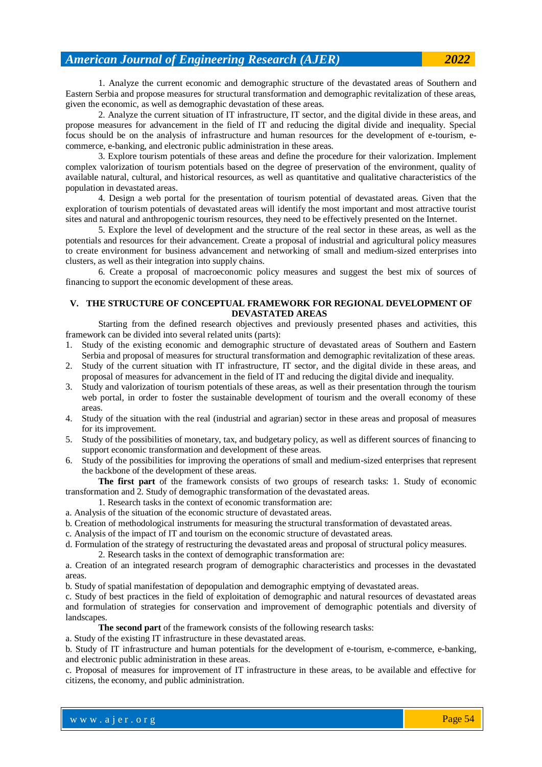1. Analyze the current economic and demographic structure of the devastated areas of Southern and Eastern Serbia and propose measures for structural transformation and demographic revitalization of these areas, given the economic, as well as demographic devastation of these areas.

2. Analyze the current situation of IT infrastructure, IT sector, and the digital divide in these areas, and propose measures for advancement in the field of IT and reducing the digital divide and inequality. Special focus should be on the analysis of infrastructure and human resources for the development of e-tourism, ecommerce, e-banking, and electronic public administration in these areas.

3. Explore tourism potentials of these areas and define the procedure for their valorization. Implement complex valorization of tourism potentials based on the degree of preservation of the environment, quality of available natural, cultural, and historical resources, as well as quantitative and qualitative characteristics of the population in devastated areas.

4. Design a web portal for the presentation of tourism potential of devastated areas. Given that the exploration of tourism potentials of devastated areas will identify the most important and most attractive tourist sites and natural and anthropogenic tourism resources, they need to be effectively presented on the Internet.

5. Explore the level of development and the structure of the real sector in these areas, as well as the potentials and resources for their advancement. Create a proposal of industrial and agricultural policy measures to create environment for business advancement and networking of small and medium-sized enterprises into clusters, as well as their integration into supply chains.

6. Create a proposal of macroeconomic policy measures and suggest the best mix of sources of financing to support the economic development of these areas.

### **V. THE STRUCTURE OF CONCEPTUAL FRAMEWORK FOR REGIONAL DEVELOPMENT OF DEVASTATED AREAS**

Starting from the defined research objectives and previously presented phases and activities, this framework can be divided into several related units (parts):

- 1. Study of the existing economic and demographic structure of devastated areas of Southern and Eastern Serbia and proposal of measures for structural transformation and demographic revitalization of these areas.
- 2. Study of the current situation with IT infrastructure, IT sector, and the digital divide in these areas, and proposal of measures for advancement in the field of IT and reducing the digital divide and inequality.
- 3. Study and valorization of tourism potentials of these areas, as well as their presentation through the tourism web portal, in order to foster the sustainable development of tourism and the overall economy of these areas.
- 4. Study of the situation with the real (industrial and agrarian) sector in these areas and proposal of measures for its improvement.
- 5. Study of the possibilities of monetary, tax, and budgetary policy, as well as different sources of financing to support economic transformation and development of these areas.
- 6. Study of the possibilities for improving the operations of small and medium-sized enterprises that represent the backbone of the development of these areas.

**The first part** of the framework consists of two groups of research tasks: 1. Study of economic transformation and 2. Study of demographic transformation of the devastated areas.

- 1. Research tasks in the context of economic transformation are:
- a. Analysis of the situation of the economic structure of devastated areas.
- b. Creation of methodological instruments for measuring the structural transformation of devastated areas.
- c. Analysis of the impact of IT and tourism on the economic structure of devastated areas.
- d. Formulation of the strategy of restructuring the devastated areas and proposal of structural policy measures.
	- 2. Research tasks in the context of demographic transformation are:

a. Creation of an integrated research program of demographic characteristics and processes in the devastated areas.

b. Study of spatial manifestation of depopulation and demographic emptying of devastated areas.

c. Study of best practices in the field of exploitation of demographic and natural resources of devastated areas and formulation of strategies for conservation and improvement of demographic potentials and diversity of landscapes.

**The second part** of the framework consists of the following research tasks:

a. Study of the existing IT infrastructure in these devastated areas.

b. Study of IT infrastructure and human potentials for the development of e-tourism, e-commerce, e-banking, and electronic public administration in these areas.

c. Proposal of measures for improvement of IT infrastructure in these areas, to be available and effective for citizens, the economy, and public administration.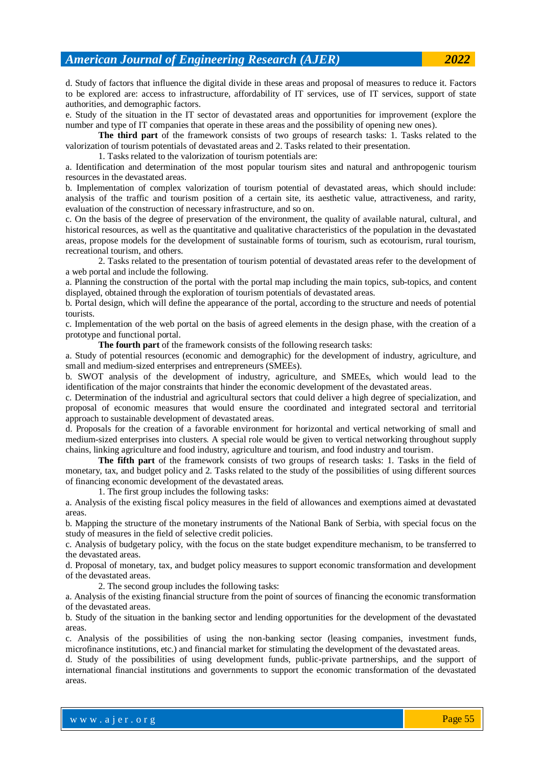d. Study of factors that influence the digital divide in these areas and proposal of measures to reduce it. Factors to be explored are: access to infrastructure, affordability of IT services, use of IT services, support of state authorities, and demographic factors.

e. Study of the situation in the IT sector of devastated areas and opportunities for improvement (explore the number and type of IT companies that operate in these areas and the possibility of opening new ones).

**The third part** of the framework consists of two groups of research tasks: 1. Tasks related to the valorization of tourism potentials of devastated areas and 2. Tasks related to their presentation.

1. Tasks related to the valorization of tourism potentials are:

a. Identification and determination of the most popular tourism sites and natural and anthropogenic tourism resources in the devastated areas.

b. Implementation of complex valorization of tourism potential of devastated areas, which should include: analysis of the traffic and tourism position of a certain site, its aesthetic value, attractiveness, and rarity, evaluation of the construction of necessary infrastructure, and so on.

c. On the basis of the degree of preservation of the environment, the quality of available natural, cultural, and historical resources, as well as the quantitative and qualitative characteristics of the population in the devastated areas, propose models for the development of sustainable forms of tourism, such as ecotourism, rural tourism, recreational tourism, and others.

2. Tasks related to the presentation of tourism potential of devastated areas refer to the development of a web portal and include the following.

a. Planning the construction of the portal with the portal map including the main topics, sub-topics, and content displayed, obtained through the exploration of tourism potentials of devastated areas.

b. Portal design, which will define the appearance of the portal, according to the structure and needs of potential tourists.

c. Implementation of the web portal on the basis of agreed elements in the design phase, with the creation of a prototype and functional portal.

**The fourth part** of the framework consists of the following research tasks:

a. Study of potential resources (economic and demographic) for the development of industry, agriculture, and small and medium-sized enterprises and entrepreneurs (SMEEs).

b. SWOT analysis of the development of industry, agriculture, and SMEEs, which would lead to the identification of the major constraints that hinder the economic development of the devastated areas.

c. Determination of the industrial and agricultural sectors that could deliver a high degree of specialization, and proposal of economic measures that would ensure the coordinated and integrated sectoral and territorial approach to sustainable development of devastated areas.

d. Proposals for the creation of a favorable environment for horizontal and vertical networking of small and medium-sized enterprises into clusters. A special role would be given to vertical networking throughout supply chains, linking agriculture and food industry, agriculture and tourism, and food industry and tourism.

**The fifth part** of the framework consists of two groups of research tasks: 1. Tasks in the field of monetary, tax, and budget policy and 2. Tasks related to the study of the possibilities of using different sources of financing economic development of the devastated areas.

1. The first group includes the following tasks:

a. Analysis of the existing fiscal policy measures in the field of allowances and exemptions aimed at devastated areas.

b. Mapping the structure of the monetary instruments of the National Bank of Serbia, with special focus on the study of measures in the field of selective credit policies.

c. Analysis of budgetary policy, with the focus on the state budget expenditure mechanism, to be transferred to the devastated areas.

d. Proposal of monetary, tax, and budget policy measures to support economic transformation and development of the devastated areas.

2. The second group includes the following tasks:

a. Analysis of the existing financial structure from the point of sources of financing the economic transformation of the devastated areas.

b. Study of the situation in the banking sector and lending opportunities for the development of the devastated areas.

c. Analysis of the possibilities of using the non-banking sector (leasing companies, investment funds, microfinance institutions, etc.) and financial market for stimulating the development of the devastated areas.

d. Study of the possibilities of using development funds, public-private partnerships, and the support of international financial institutions and governments to support the economic transformation of the devastated areas.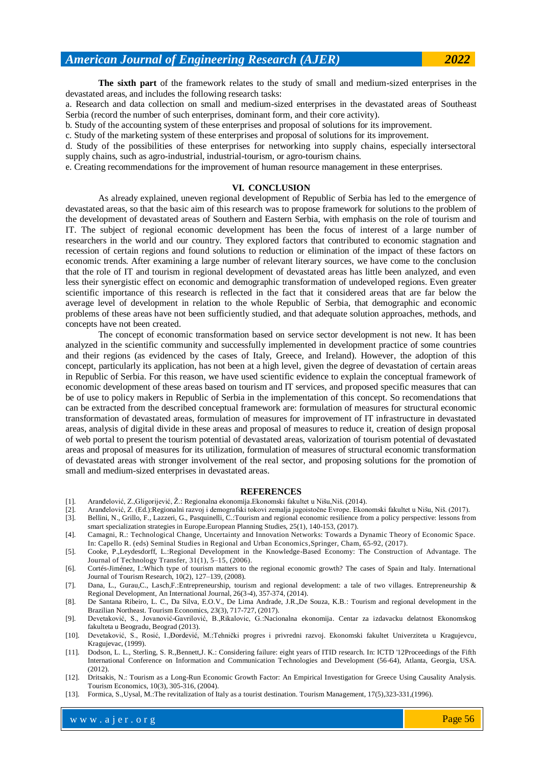## *American Journal of Engineering Research (AJER) 2022*

**The sixth part** of the framework relates to the study of small and medium-sized enterprises in the devastated areas, and includes the following research tasks:

a. Research and data collection on small and medium-sized enterprises in the devastated areas of Southeast Serbia (record the number of such enterprises, dominant form, and their core activity).

b. Study of the accounting system of these enterprises and proposal of solutions for its improvement.

c. Study of the marketing system of these enterprises and proposal of solutions for its improvement.

d. Study of the possibilities of these enterprises for networking into supply chains, especially intersectoral supply chains, such as agro-industrial, industrial-tourism, or agro-tourism chains.

e. Creating recommendations for the improvement of human resource management in these enterprises.

#### **VI. CONCLUSION**

As already explained, uneven regional development of Republic of Serbia has led to the emergence of devastated areas, so that the basic aim of this research was to propose framework for solutions to the problem of the development of devastated areas of Southern and Eastern Serbia, with emphasis on the role of tourism and IT. The subject of regional economic development has been the focus of interest of a large number of researchers in the world and our country. They explored factors that contributed to economic stagnation and recession of certain regions and found solutions to reduction or elimination of the impact of these factors on economic trends. After examining a large number of relevant literary sources, we have come to the conclusion that the role of IT and tourism in regional development of devastated areas has little been analyzed, and even less their synergistic effect on economic and demographic transformation of undeveloped regions. Even greater scientific importance of this research is reflected in the fact that it considered areas that are far below the average level of development in relation to the whole Republic of Serbia, that demographic and economic problems of these areas have not been sufficiently studied, and that adequate solution approaches, methods, and concepts have not been created.

The concept of economic transformation based on service sector development is not new. It has been analyzed in the scientific community and successfully implemented in development practice of some countries and their regions (as evidenced by the cases of Italy, Greece, and Ireland). However, the adoption of this concept, particularly its application, has not been at a high level, given the degree of devastation of certain areas in Republic of Serbia. For this reason, we have used scientific evidence to explain the conceptual framework of economic development of these areas based on tourism and IT services, and proposed specific measures that can be of use to policy makers in Republic of Serbia in the implementation of this concept. So recomendations that can be extracted from the described conceptual framework are: formulation of measures for structural economic transformation of devastated areas, formulation of measures for improvement of IT infrastructure in devastated areas, analysis of digital divide in these areas and proposal of measures to reduce it, creation of design proposal of web portal to present the tourism potential of devastated areas, valorization of tourism potential of devastated areas and proposal of measures for its utilization, formulation of measures of structural economic transformation of devastated areas with stronger involvement of the real sector, and proposing solutions for the promotion of small and medium-sized enterprises in devastated areas.

#### **REFERENCES**

- [1]. Aranđelović, Z., Gligorijević, Ž.: Regionalna ekonomija. Ekonomski fakultet u Nišu, Niš. (2014).
- [2]. Aranđelović, Z. (Ed.):Regionalni razvoj i demografski tokovi zemalja jugoistočne Evrope. Ekonomski fakultet u Nišu, Niš. (2017).
- [3]. Bellini, N., Grillo, F., Lazzeri, G., Pasquinelli, C.:Tourism and regional economic resilience from a policy perspective: lessons from smart specialization strategies in Europe.European Planning Studies, 25(1), 140-153, (2017).
- [4]. Camagni, R.: Technological Change, Uncertainty and Innovation Networks: Towards a Dynamic Theory of Economic Space. In: Capello R. (eds) Seminal Studies in Regional and Urban Economics,Springer, Cham, 65-92, (2017).
- [5]. Cooke, P.,Leydesdorff, L.:Regional Development in the Knowledge-Based Economy: The Construction of Advantage. The Journal of Technology Transfer, 31(1), 5–15, (2006).
- [6]. Cortés-Jiménez, I.:Which type of tourism matters to the regional economic growth? The cases of Spain and Italy. International Journal of Tourism Research, 10(2), 127–139, (2008).
- [7]. Dana, L., Gurau,C., Lasch,F.:Entrepreneurship, tourism and regional development: a tale of two villages. Entrepreneurship & Regional Development, An International Journal, 26(3-4), 357-374, (2014).
- [8]. De Santana Ribeiro, L. C., Da Silva, E.O.V., De Lima Andrade, J.R.,De Souza, K.B.: Tourism and regional development in the Brazilian Northeast. Tourism Economics, 23(3), 717-727, (2017).
- [9]. Devetaković, S., Jovanović-Gavrilović, B.,Rikalovic, G.:Nacionalna ekonomija. Centar za izdavacku delatnost Ekonomskog fakulteta u Beogradu, Beograd (2013).
- [10]. Devetaković, S., Rosić, I.,Đordević, M.:Tehnički progres i privredni razvoj. Ekonomski fakultet Univerziteta u Kragujevcu, Kragujevac, (1999).
- [11]. Dodson, L. L., Sterling, S. R.,Bennett,J. K.: Considering failure: eight years of ITID research. In: ICTD '12Proceedings of the Fifth International Conference on Information and Communication Technologies and Development (56-64), Atlanta, Georgia, USA. (2012).
- [12]. Dritsakis, N.: Tourism as a Long-Run Economic Growth Factor: An Empirical Investigation for Greece Using Causality Analysis. Tourism Economics, 10(3), 305-316, (2004).
- [13]. Formica, S.,Uysal, M.:The revitalization of Italy as a tourist destination. Tourism Management, 17(5),323-331,(1996).